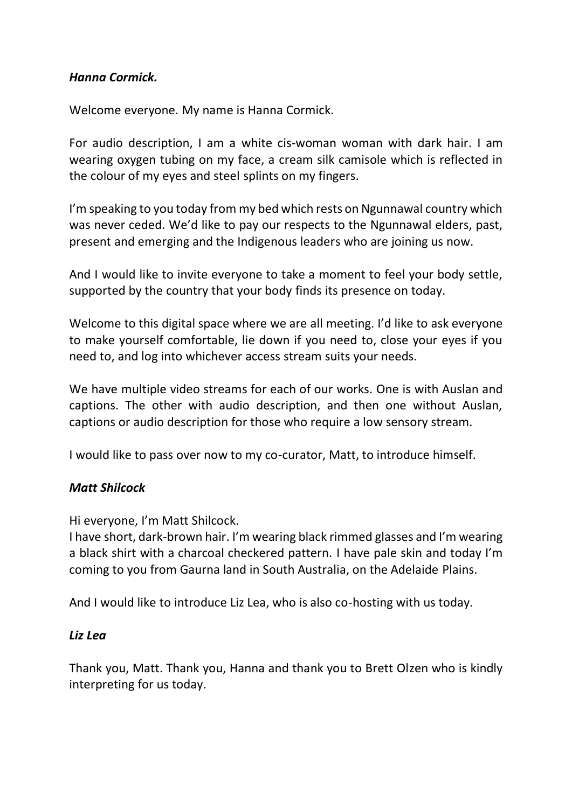## *Hanna Cormick.*

Welcome everyone. My name is Hanna Cormick.

For audio description, I am a white cis-woman woman with dark hair. I am wearing oxygen tubing on my face, a cream silk camisole which is reflected in the colour of my eyes and steel splints on my fingers.

I'm speaking to you today from my bed which rests on Ngunnawal country which was never ceded. We'd like to pay our respects to the Ngunnawal elders, past, present and emerging and the Indigenous leaders who are joining us now.

And I would like to invite everyone to take a moment to feel your body settle, supported by the country that your body finds its presence on today.

Welcome to this digital space where we are all meeting. I'd like to ask everyone to make yourself comfortable, lie down if you need to, close your eyes if you need to, and log into whichever access stream suits your needs.

We have multiple video streams for each of our works. One is with Auslan and captions. The other with audio description, and then one without Auslan, captions or audio description for those who require a low sensory stream.

I would like to pass over now to my co-curator, Matt, to introduce himself.

# *Matt Shilcock*

Hi everyone, I'm Matt Shilcock.

I have short, dark-brown hair. I'm wearing black rimmed glasses and I'm wearing a black shirt with a charcoal checkered pattern. I have pale skin and today I'm coming to you from Gaurna land in South Australia, on the Adelaide Plains.

And I would like to introduce Liz Lea, who is also co-hosting with us today.

### *Liz Lea*

Thank you, Matt. Thank you, Hanna and thank you to Brett Olzen who is kindly interpreting for us today.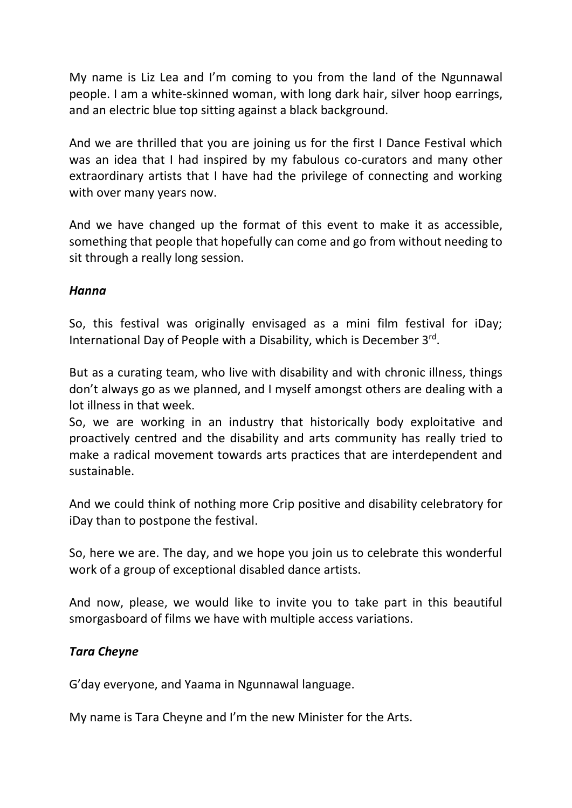My name is Liz Lea and I'm coming to you from the land of the Ngunnawal people. I am a white-skinned woman, with long dark hair, silver hoop earrings, and an electric blue top sitting against a black background.

And we are thrilled that you are joining us for the first I Dance Festival which was an idea that I had inspired by my fabulous co-curators and many other extraordinary artists that I have had the privilege of connecting and working with over many years now.

And we have changed up the format of this event to make it as accessible, something that people that hopefully can come and go from without needing to sit through a really long session.

### *Hanna*

So, this festival was originally envisaged as a mini film festival for iDay; International Day of People with a Disability, which is December 3rd.

But as a curating team, who live with disability and with chronic illness, things don't always go as we planned, and I myself amongst others are dealing with a lot illness in that week.

So, we are working in an industry that historically body exploitative and proactively centred and the disability and arts community has really tried to make a radical movement towards arts practices that are interdependent and sustainable.

And we could think of nothing more Crip positive and disability celebratory for iDay than to postpone the festival.

So, here we are. The day, and we hope you join us to celebrate this wonderful work of a group of exceptional disabled dance artists.

And now, please, we would like to invite you to take part in this beautiful smorgasboard of films we have with multiple access variations.

### *Tara Cheyne*

G'day everyone, and Yaama in Ngunnawal language.

My name is Tara Cheyne and I'm the new Minister for the Arts.